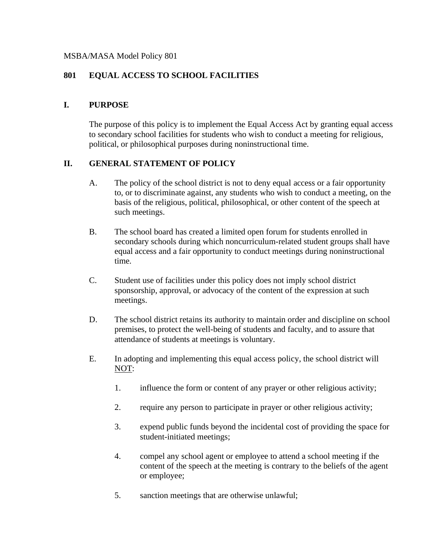#### MSBA/MASA Model Policy 801

### **801 EQUAL ACCESS TO SCHOOL FACILITIES**

#### **I. PURPOSE**

The purpose of this policy is to implement the Equal Access Act by granting equal access to secondary school facilities for students who wish to conduct a meeting for religious, political, or philosophical purposes during noninstructional time.

#### **II. GENERAL STATEMENT OF POLICY**

- A. The policy of the school district is not to deny equal access or a fair opportunity to, or to discriminate against, any students who wish to conduct a meeting, on the basis of the religious, political, philosophical, or other content of the speech at such meetings.
- B. The school board has created a limited open forum for students enrolled in secondary schools during which noncurriculum-related student groups shall have equal access and a fair opportunity to conduct meetings during noninstructional time.
- C. Student use of facilities under this policy does not imply school district sponsorship, approval, or advocacy of the content of the expression at such meetings.
- D. The school district retains its authority to maintain order and discipline on school premises, to protect the well-being of students and faculty, and to assure that attendance of students at meetings is voluntary.
- E. In adopting and implementing this equal access policy, the school district will NOT:
	- 1. influence the form or content of any prayer or other religious activity;
	- 2. require any person to participate in prayer or other religious activity;
	- 3. expend public funds beyond the incidental cost of providing the space for student-initiated meetings;
	- 4. compel any school agent or employee to attend a school meeting if the content of the speech at the meeting is contrary to the beliefs of the agent or employee;
	- 5. sanction meetings that are otherwise unlawful;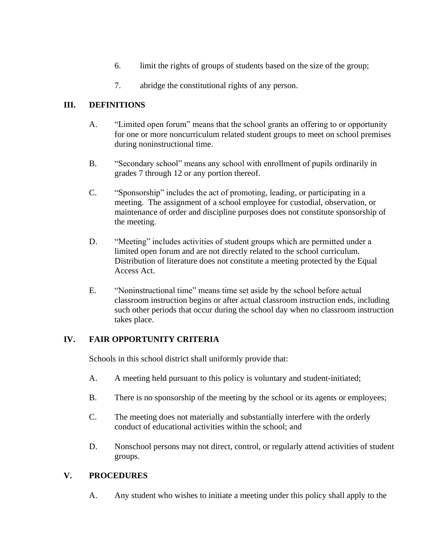- 6. limit the rights of groups of students based on the size of the group;
- 7. abridge the constitutional rights of any person.

# **III. DEFINITIONS**

- A. "Limited open forum" means that the school grants an offering to or opportunity for one or more noncurriculum related student groups to meet on school premises during noninstructional time.
- B. "Secondary school" means any school with enrollment of pupils ordinarily in grades 7 through 12 or any portion thereof.
- C. "Sponsorship" includes the act of promoting, leading, or participating in a meeting. The assignment of a school employee for custodial, observation, or maintenance of order and discipline purposes does not constitute sponsorship of the meeting.
- D. "Meeting" includes activities of student groups which are permitted under a limited open forum and are not directly related to the school curriculum. Distribution of literature does not constitute a meeting protected by the Equal Access Act.
- E. "Noninstructional time" means time set aside by the school before actual classroom instruction begins or after actual classroom instruction ends, including such other periods that occur during the school day when no classroom instruction takes place.

## **IV. FAIR OPPORTUNITY CRITERIA**

Schools in this school district shall uniformly provide that:

- A. A meeting held pursuant to this policy is voluntary and student-initiated;
- B. There is no sponsorship of the meeting by the school or its agents or employees;
- C. The meeting does not materially and substantially interfere with the orderly conduct of educational activities within the school; and
- D. Nonschool persons may not direct, control, or regularly attend activities of student groups.

#### **V. PROCEDURES**

A. Any student who wishes to initiate a meeting under this policy shall apply to the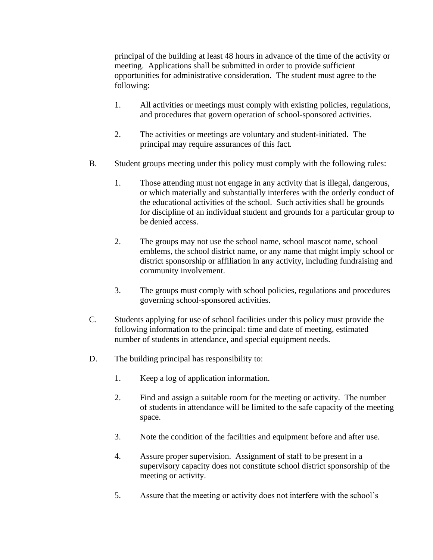principal of the building at least 48 hours in advance of the time of the activity or meeting. Applications shall be submitted in order to provide sufficient opportunities for administrative consideration. The student must agree to the following:

- 1. All activities or meetings must comply with existing policies, regulations, and procedures that govern operation of school-sponsored activities.
- 2. The activities or meetings are voluntary and student-initiated. The principal may require assurances of this fact.
- B. Student groups meeting under this policy must comply with the following rules:
	- 1. Those attending must not engage in any activity that is illegal, dangerous, or which materially and substantially interferes with the orderly conduct of the educational activities of the school. Such activities shall be grounds for discipline of an individual student and grounds for a particular group to be denied access.
	- 2. The groups may not use the school name, school mascot name, school emblems, the school district name, or any name that might imply school or district sponsorship or affiliation in any activity, including fundraising and community involvement.
	- 3. The groups must comply with school policies, regulations and procedures governing school-sponsored activities.
- C. Students applying for use of school facilities under this policy must provide the following information to the principal: time and date of meeting, estimated number of students in attendance, and special equipment needs.
- D. The building principal has responsibility to:
	- 1. Keep a log of application information.
	- 2. Find and assign a suitable room for the meeting or activity. The number of students in attendance will be limited to the safe capacity of the meeting space.
	- 3. Note the condition of the facilities and equipment before and after use.
	- 4. Assure proper supervision. Assignment of staff to be present in a supervisory capacity does not constitute school district sponsorship of the meeting or activity.
	- 5. Assure that the meeting or activity does not interfere with the school's